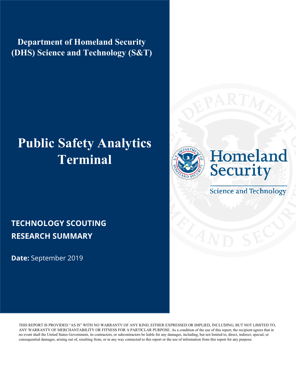**Department of Homeland Security (DHS) Science and Technology (S&T)** 

# **Public Safety Analytics Terminal**





**Science and Technology** 

### **TECHNOLOGY SCOUTING RESEARCH SUMMARY**

**Date:** September 2019

THIS REPORT IS PROVIDED "AS IS" WITH NO WARRANTY OF ANY KIND, EITHER EXPRESSED OR IMPLIED, INCLUDING, BUT NOT LIMITED TO, ANY WARRANTY OF MERCHANTABILITY OR FITNESS FOR A PARTICLAR PURPOSE. As a condition of the use of this report, the recipient agrees that in no event shall the United States Government, its contractors, or subcontractors be liable for any damages, including, but not limited to, direct, indirect, special, or consequential damages, arising out of, resulting from, or in any way connected to this report or the use of information from this report for any purpose.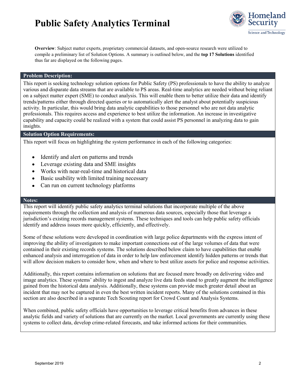

**Overview**: Subject matter experts, proprietary commercial datasets, and open-source research were utilized to compile a preliminary list of Solution Options. A summary is outlined below, and the **top 17 Solutions** identified thus far are displayed on the following pages.

#### **Problem Description:**

This report is seeking technology solution options for Public Safety (PS) professionals to have the ability to analyze various and disparate data streams that are available to PS areas. Real-time analytics are needed without being reliant on a subject matter expert (SME) to conduct analysis. This will enable them to better utilize their data and identify trends/patterns either through directed queries or to automatically alert the analyst about potentially suspicious activity. In particular, this would bring data analytic capabilities to those personnel who are not data analytic professionals. This requires access and experience to best utilize the information. An increase in investigative capability and capacity could be realized with a system that could assist PS personnel in analyzing data to gain insights.

#### **Solution Option Requirements:**

This report will focus on highlighting the system performance in each of the following categories:

- Identify and alert on patterns and trends
- Leverage existing data and SME insights
- Works with near-real-time and historical data
- Basic usability with limited training necessary
- Can run on current technology platforms

#### **Notes:**

This report will identify public safety analytics terminal solutions that incorporate multiple of the above requirements through the collection and analysis of numerous data sources, especially those that leverage a jurisdiction's existing records management systems. These techniques and tools can help public safety officials identify and address issues more quickly, efficiently, and effectively.

Some of these solutions were developed in coordination with large police departments with the express intent of improving the ability of investigators to make important connections out of the large volumes of data that were contained in their existing records systems. The solutions described below claim to have capabilities that enable enhanced analysis and interrogation of data in order to help law enforcement identify hidden patterns or trends that will allow decision makers to consider how, when and where to best utilize assets for police and response activities.

Additionally, this report contains information on solutions that are focused more broadly on delivering video and image analytics. These systems' ability to ingest and analyze live data feeds stand to greatly augment the intelligence gained from the historical data analysis. Additionally, these systems can provide much greater detail about an incident that may not be captured in even the best written incident reports. Many of the solutions contained in this section are also described in a separate Tech Scouting report for Crowd Count and Analysis Systems.

When combined, public safety officials have opportunities to leverage critical benefits from advances in these analytic fields and variety of solutions that are currently on the market. Local governments are currently using these systems to collect data, develop crime-related forecasts, and take informed actions for their communities.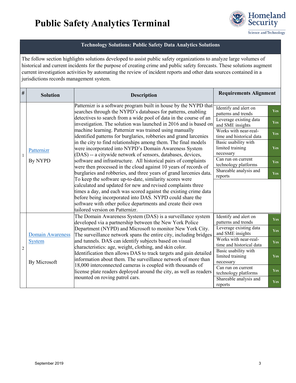

#### **Technology Solutions: Public Safety Data Analytics Solutions**

The follow section highlights solutions developed to assist public safety organizations to analyze large volumes of historical and current incidents for the purpose of creating crime and public safety forecasts. These solutions augment current investigation activities by automating the review of incident reports and other data sources contained in a jurisdictions records management system.

| #              | <b>Solution</b>         | <b>Description</b>                                                                                                                                                                                                                                                                                                                                                                                                                                                                                                                                                                                  | <b>Requirements Alignment</b>                         |            |
|----------------|-------------------------|-----------------------------------------------------------------------------------------------------------------------------------------------------------------------------------------------------------------------------------------------------------------------------------------------------------------------------------------------------------------------------------------------------------------------------------------------------------------------------------------------------------------------------------------------------------------------------------------------------|-------------------------------------------------------|------------|
| 1              | Patternizr<br>By NYPD   | Patternizr is a software program built in house by the NYPD that<br>searches through the NYPD's databases for patterns, enabling<br>detectives to search from a wide pool of data in the course of an<br>investigation. The solution was launched in 2016 and is based on<br>machine learning. Patternizr was trained using manually<br>identified patterns for burglaries, robberies and grand larcenies<br>in the city to find relationships among them. The final models<br>were incorporated into NYPD's Domain Awareness System<br>(DAS) -- a citywide network of sensors, databases, devices, | Identify and alert on<br>patterns and trends          | <b>Yes</b> |
|                |                         |                                                                                                                                                                                                                                                                                                                                                                                                                                                                                                                                                                                                     | Leverage existing data<br>and SME insights            | Yes:       |
|                |                         |                                                                                                                                                                                                                                                                                                                                                                                                                                                                                                                                                                                                     | Works with near-real-<br>time and historical data     | <b>Yes</b> |
|                |                         |                                                                                                                                                                                                                                                                                                                                                                                                                                                                                                                                                                                                     | Basic usability with<br>limited training<br>necessary | Yes        |
|                |                         | software and infrastructure. All historical pairs of complaints<br>were then processed in the cloud against 10 years of records of                                                                                                                                                                                                                                                                                                                                                                                                                                                                  | Can run on current<br>technology platforms            | <b>Yes</b> |
|                |                         | burglaries and robberies, and three years of grand larcenies data.<br>To keep the software up-to-date, similarity scores were                                                                                                                                                                                                                                                                                                                                                                                                                                                                       | Shareable analysis and<br>reports                     | <b>Yes</b> |
|                |                         | calculated and updated for new and revised complaints three<br>times a day, and each was scored against the existing crime data<br>before being incorporated into DAS. NYPD could share the<br>software with other police departments and create their own<br>tailored version on Patternizr.                                                                                                                                                                                                                                                                                                       |                                                       |            |
|                |                         | The Domain Awareness System (DAS) is a surveillance system<br>developed via a partnership between the New York Police                                                                                                                                                                                                                                                                                                                                                                                                                                                                               | Identify and alert on<br>patterns and trends          | <b>Yes</b> |
|                | <b>Domain Awareness</b> | Department (NYPD) and Microsoft to monitor New York City.<br>The surveillance network spans the entire city, including bridges                                                                                                                                                                                                                                                                                                                                                                                                                                                                      | Leverage existing data<br>and SME insights            | <b>Yes</b> |
|                | <b>System</b>           | and tunnels. DAS can identify subjects based on visual<br>characteristics: age, weight, clothing, and skin color.                                                                                                                                                                                                                                                                                                                                                                                                                                                                                   | Works with near-real-<br>time and historical data     | <b>Yes</b> |
| $\overline{c}$ | By Microsoft            | Identification then allows DAS to track targets and gain detailed<br>information about them. The surveillance network of more than                                                                                                                                                                                                                                                                                                                                                                                                                                                                  | Basic usability with<br>limited training<br>necessary | <b>Yes</b> |
|                |                         | 18,000 interconnected cameras is coupled with thousands of<br>license plate readers deployed around the city, as well as readers                                                                                                                                                                                                                                                                                                                                                                                                                                                                    | Can run on current<br>technology platforms            | <b>Yes</b> |
|                |                         | mounted on roving patrol cars.                                                                                                                                                                                                                                                                                                                                                                                                                                                                                                                                                                      | Shareable analysis and<br>reports                     | Yes        |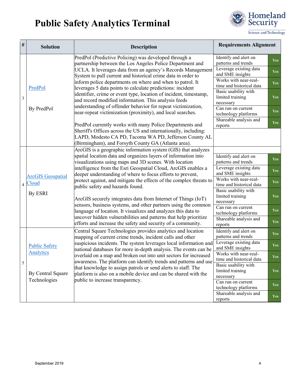

| $\#$           | <b>Solution</b>                                                        | <b>Description</b>                                                                                                                                                                                                                                                                                                                                                                                                                                                                                                                                                                                                                                                                                         | <b>Requirements Alignment</b>                            |            |
|----------------|------------------------------------------------------------------------|------------------------------------------------------------------------------------------------------------------------------------------------------------------------------------------------------------------------------------------------------------------------------------------------------------------------------------------------------------------------------------------------------------------------------------------------------------------------------------------------------------------------------------------------------------------------------------------------------------------------------------------------------------------------------------------------------------|----------------------------------------------------------|------------|
|                | PredPol<br>By PredPol                                                  | PredPol (Predictive Policing) was developed through a<br>partnership between the Los Angeles Police Department and                                                                                                                                                                                                                                                                                                                                                                                                                                                                                                                                                                                         | Identify and alert on<br>patterns and trends             | Yes        |
|                |                                                                        | UCLA. It leverages data from an agency's Records Management<br>System to pull current and historical crime data in order to                                                                                                                                                                                                                                                                                                                                                                                                                                                                                                                                                                                | Leverage existing data<br>and SME insights               | <b>Yes</b> |
|                |                                                                        | inform police departments on where and when to patrol. It<br>leverages 5 data points to calculate predictions: incident<br>identifier, crime or event type, location of incident, timestamp,<br>and record modified information. This analysis feeds<br>understanding of offender behavior for repeat victimization,<br>near-repeat victimization (proximity), and local searches.<br>PredPol currently works with many Police Departments and                                                                                                                                                                                                                                                             | Works with near-real-<br>time and historical data        | <b>Yes</b> |
| $\mathfrak{Z}$ |                                                                        |                                                                                                                                                                                                                                                                                                                                                                                                                                                                                                                                                                                                                                                                                                            | Basic usability with<br>limited training<br>necessary    | Yes        |
|                |                                                                        |                                                                                                                                                                                                                                                                                                                                                                                                                                                                                                                                                                                                                                                                                                            | Can run on current<br>technology platforms               | <b>Yes</b> |
|                |                                                                        |                                                                                                                                                                                                                                                                                                                                                                                                                                                                                                                                                                                                                                                                                                            | Shareable analysis and<br>reports                        | <b>Yes</b> |
|                |                                                                        | Sheriff's Offices across the US and internationally, including:<br>LAPD, Modesto CA PD, Tacoma WA PD, Jefferson County AL<br>(Birmingham), and Forsyth County GA (Atlanta area).                                                                                                                                                                                                                                                                                                                                                                                                                                                                                                                           |                                                          |            |
|                |                                                                        | ArcGIS is a geographic information system (GIS) that analyzes                                                                                                                                                                                                                                                                                                                                                                                                                                                                                                                                                                                                                                              |                                                          |            |
|                | <b>ArcGIS</b> Geospatial<br>4 Cloud<br>By ESRI                         | spatial location data and organizes layers of information into<br>visualizations using maps and 3D scenes. With location<br>intelligence from the Esri Geospatial Cloud, ArcGIS enables a<br>deeper understanding of where to focus efforts to prevent,<br>protect against, and mitigate the effects of the complex threats to<br>public safety and hazards found.<br>ArcGIS securely integrates data from Internet of Things (IoT)<br>sensors, business systems, and other partners using the common<br>language of location. It visualizes and analyzes this data to<br>uncover hidden vulnerabilities and patterns that help prioritize<br>efforts and increase the safety and security of a community. | Identify and alert on<br>patterns and trends             | <b>Yes</b> |
|                |                                                                        |                                                                                                                                                                                                                                                                                                                                                                                                                                                                                                                                                                                                                                                                                                            | Leverage existing data<br>and SME insights               | <b>Yes</b> |
|                |                                                                        |                                                                                                                                                                                                                                                                                                                                                                                                                                                                                                                                                                                                                                                                                                            | Works with near-real-<br>time and historical data        | Yes        |
|                |                                                                        |                                                                                                                                                                                                                                                                                                                                                                                                                                                                                                                                                                                                                                                                                                            | Basic usability with<br>limited training<br>necessary    | <b>Yes</b> |
|                |                                                                        |                                                                                                                                                                                                                                                                                                                                                                                                                                                                                                                                                                                                                                                                                                            | $\overline{C}$ an run on current<br>technology platforms | Yes        |
|                |                                                                        |                                                                                                                                                                                                                                                                                                                                                                                                                                                                                                                                                                                                                                                                                                            | Shareable analysis and<br>reports                        | <b>Yes</b> |
|                | <b>Public Safety</b><br>Analytics<br>By Central Square<br>Technologies | Central Square Technologies provides analytics and location<br>mapping of current crime trends, incident calls and other<br>suspicious incidents. The system leverages local information and<br>national databases for more in-depth analysis. The events can be<br>overlaid on a map and broken out into unit sectors for increased<br>awareness. The platform can identify trends and patterns and use<br>that knowledge to assign patrols or send alerts to staff. The<br>platform is also on a mobile device and can be shared with the<br>public to increase transparency.                                                                                                                            | Identify and alert on<br>patterns and trends             | <b>Yes</b> |
|                |                                                                        |                                                                                                                                                                                                                                                                                                                                                                                                                                                                                                                                                                                                                                                                                                            | Leverage existing data<br>and SME insights               | <b>Yes</b> |
| $\sqrt{5}$     |                                                                        |                                                                                                                                                                                                                                                                                                                                                                                                                                                                                                                                                                                                                                                                                                            | Works with near-real-<br>time and historical data        | Yes        |
|                |                                                                        |                                                                                                                                                                                                                                                                                                                                                                                                                                                                                                                                                                                                                                                                                                            | Basic usability with<br>limited training<br>necessary    | <b>Yes</b> |
|                |                                                                        |                                                                                                                                                                                                                                                                                                                                                                                                                                                                                                                                                                                                                                                                                                            | Can run on current<br>technology platforms               | <b>Yes</b> |
|                |                                                                        |                                                                                                                                                                                                                                                                                                                                                                                                                                                                                                                                                                                                                                                                                                            | Shareable analysis and<br>reports                        | <b>Yes</b> |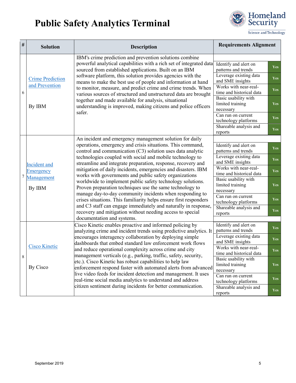

| $\#$   | <b>Solution</b>                                                                                                                                                                                                                                                                                                                                                                                                                                                                                                                                                                                                                                                                                                                                          | <b>Description</b>                                                                                                                                                                                                                                                                                                                                                                                                                                                                                                                                                                                                                                                                                                                                                                                                                                                  | <b>Requirements Alignment</b>                                     |            |
|--------|----------------------------------------------------------------------------------------------------------------------------------------------------------------------------------------------------------------------------------------------------------------------------------------------------------------------------------------------------------------------------------------------------------------------------------------------------------------------------------------------------------------------------------------------------------------------------------------------------------------------------------------------------------------------------------------------------------------------------------------------------------|---------------------------------------------------------------------------------------------------------------------------------------------------------------------------------------------------------------------------------------------------------------------------------------------------------------------------------------------------------------------------------------------------------------------------------------------------------------------------------------------------------------------------------------------------------------------------------------------------------------------------------------------------------------------------------------------------------------------------------------------------------------------------------------------------------------------------------------------------------------------|-------------------------------------------------------------------|------------|
|        | <b>Crime Prediction</b><br>and Prevention<br>By IBM                                                                                                                                                                                                                                                                                                                                                                                                                                                                                                                                                                                                                                                                                                      | IBM's crime prediction and prevention solutions combine<br>powerful analytical capabilities with a rich set of integrated data<br>sourced from established applications. Built on an IBM<br>software platform, this solution provides agencies with the<br>means to make the best use of people and information at hand<br>to monitor, measure, and predict crime and crime trends. When<br>various sources of structured and unstructured data are brought<br>together and made available for analysis, situational<br>understanding is improved, making citizens and police officers<br>safer.                                                                                                                                                                                                                                                                    | Identify and alert on<br>patterns and trends                      | Yes        |
|        |                                                                                                                                                                                                                                                                                                                                                                                                                                                                                                                                                                                                                                                                                                                                                          |                                                                                                                                                                                                                                                                                                                                                                                                                                                                                                                                                                                                                                                                                                                                                                                                                                                                     | Leverage existing data<br>and SME insights                        | <b>Yes</b> |
| 6      |                                                                                                                                                                                                                                                                                                                                                                                                                                                                                                                                                                                                                                                                                                                                                          |                                                                                                                                                                                                                                                                                                                                                                                                                                                                                                                                                                                                                                                                                                                                                                                                                                                                     | Works with near-real-<br>time and historical data                 | Yes        |
|        |                                                                                                                                                                                                                                                                                                                                                                                                                                                                                                                                                                                                                                                                                                                                                          |                                                                                                                                                                                                                                                                                                                                                                                                                                                                                                                                                                                                                                                                                                                                                                                                                                                                     | Basic usability with<br>limited training<br>necessary             | Yes        |
|        |                                                                                                                                                                                                                                                                                                                                                                                                                                                                                                                                                                                                                                                                                                                                                          |                                                                                                                                                                                                                                                                                                                                                                                                                                                                                                                                                                                                                                                                                                                                                                                                                                                                     | Can run on current<br>technology platforms                        | <b>Yes</b> |
|        |                                                                                                                                                                                                                                                                                                                                                                                                                                                                                                                                                                                                                                                                                                                                                          |                                                                                                                                                                                                                                                                                                                                                                                                                                                                                                                                                                                                                                                                                                                                                                                                                                                                     | Shareable analysis and<br>reports                                 | Yes        |
|        |                                                                                                                                                                                                                                                                                                                                                                                                                                                                                                                                                                                                                                                                                                                                                          | An incident and emergency management solution for daily<br>operations, emergency and crisis situations. This command,<br>control and communication (C3) solution uses data analytic<br>technologies coupled with social and mobile technology to<br>streamline and integrate preparation, response, recovery and<br>mitigation of daily incidents, emergencies and disasters. IBM<br>works with governments and public safety organizations<br>worldwide to implement public safety technology solutions.<br>Proven preparation techniques use the same technology to<br>manage day-to-day community incidents when responding to<br>crises situations. This familiarity helps ensure first responders<br>and C3 staff can engage immediately and naturally in response,<br>recovery and mitigation without needing access to special<br>documentation and systems. |                                                                   |            |
|        | Incident and<br>Emergency<br>Management<br>By IBM                                                                                                                                                                                                                                                                                                                                                                                                                                                                                                                                                                                                                                                                                                        |                                                                                                                                                                                                                                                                                                                                                                                                                                                                                                                                                                                                                                                                                                                                                                                                                                                                     | Identify and alert on<br>patterns and trends                      | Yes        |
|        |                                                                                                                                                                                                                                                                                                                                                                                                                                                                                                                                                                                                                                                                                                                                                          |                                                                                                                                                                                                                                                                                                                                                                                                                                                                                                                                                                                                                                                                                                                                                                                                                                                                     | Leverage existing data<br>and SME insights                        | <b>Yes</b> |
|        |                                                                                                                                                                                                                                                                                                                                                                                                                                                                                                                                                                                                                                                                                                                                                          |                                                                                                                                                                                                                                                                                                                                                                                                                                                                                                                                                                                                                                                                                                                                                                                                                                                                     | Works with near-real-<br>time and historical data                 | Yes        |
| $\tau$ |                                                                                                                                                                                                                                                                                                                                                                                                                                                                                                                                                                                                                                                                                                                                                          |                                                                                                                                                                                                                                                                                                                                                                                                                                                                                                                                                                                                                                                                                                                                                                                                                                                                     | Basic usability with<br>limited training<br>necessary             | Yes        |
|        |                                                                                                                                                                                                                                                                                                                                                                                                                                                                                                                                                                                                                                                                                                                                                          |                                                                                                                                                                                                                                                                                                                                                                                                                                                                                                                                                                                                                                                                                                                                                                                                                                                                     | Can run on current<br>technology platforms                        | <b>Yes</b> |
|        |                                                                                                                                                                                                                                                                                                                                                                                                                                                                                                                                                                                                                                                                                                                                                          |                                                                                                                                                                                                                                                                                                                                                                                                                                                                                                                                                                                                                                                                                                                                                                                                                                                                     | Shareable analysis and<br>reports                                 | Yes        |
|        | Cisco Kinetic enables proactive and informed policing by<br>analyzing crime and incident trends using predictive analytics. It<br>encourages interagency collaboration by deploying simple<br>dashboards that embed standard law enforcement work flows<br><b>Cisco Kinetic</b><br>and reduce operational complexity across crime and city<br>management verticals (e.g., parking, traffic, safety, security,<br>etc.). Cisco Kinetic has robust capabilities to help law<br>By Cisco<br>enforcement respond faster with automated alerts from advanced<br>live video feeds for incident detection and management. It uses<br>real-time social media analytics to understand and address<br>citizen sentiment during incidents for better communication. | Identify and alert on                                                                                                                                                                                                                                                                                                                                                                                                                                                                                                                                                                                                                                                                                                                                                                                                                                               | Yes                                                               |            |
|        |                                                                                                                                                                                                                                                                                                                                                                                                                                                                                                                                                                                                                                                                                                                                                          |                                                                                                                                                                                                                                                                                                                                                                                                                                                                                                                                                                                                                                                                                                                                                                                                                                                                     | patterns and trends<br>Leverage existing data<br>and SME insights | Yes        |
|        |                                                                                                                                                                                                                                                                                                                                                                                                                                                                                                                                                                                                                                                                                                                                                          |                                                                                                                                                                                                                                                                                                                                                                                                                                                                                                                                                                                                                                                                                                                                                                                                                                                                     | Works with near-real-<br>time and historical data                 | Yes        |
| 8      |                                                                                                                                                                                                                                                                                                                                                                                                                                                                                                                                                                                                                                                                                                                                                          |                                                                                                                                                                                                                                                                                                                                                                                                                                                                                                                                                                                                                                                                                                                                                                                                                                                                     | Basic usability with<br>limited training<br>necessary             | <b>Yes</b> |
|        |                                                                                                                                                                                                                                                                                                                                                                                                                                                                                                                                                                                                                                                                                                                                                          |                                                                                                                                                                                                                                                                                                                                                                                                                                                                                                                                                                                                                                                                                                                                                                                                                                                                     | Can run on current<br>technology platforms                        | <b>Yes</b> |
|        |                                                                                                                                                                                                                                                                                                                                                                                                                                                                                                                                                                                                                                                                                                                                                          | Shareable analysis and<br>reports                                                                                                                                                                                                                                                                                                                                                                                                                                                                                                                                                                                                                                                                                                                                                                                                                                   | Yes                                                               |            |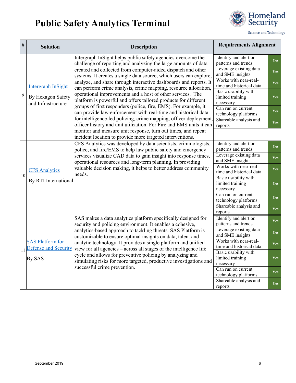

| $\#$ | <b>Solution</b>                                               | <b>Description</b>                                                                                                                                                                                                                                                                                                                                                                                                                                                                                                                                                                                                                                                                                                                                                                                                            | <b>Requirements Alignment</b>                         |            |
|------|---------------------------------------------------------------|-------------------------------------------------------------------------------------------------------------------------------------------------------------------------------------------------------------------------------------------------------------------------------------------------------------------------------------------------------------------------------------------------------------------------------------------------------------------------------------------------------------------------------------------------------------------------------------------------------------------------------------------------------------------------------------------------------------------------------------------------------------------------------------------------------------------------------|-------------------------------------------------------|------------|
| 9    | Intergraph InSight<br>By Hexagon Safety<br>and Infrastructure | Intergraph InSight helps public safety agencies overcome the<br>challenge of reporting and analyzing the large amounts of data<br>created and collected from computer-aided dispatch and other<br>systems. It creates a single data source, which users can explore,<br>analyze, and share through interactive dashboards and reports. It<br>can perform crime analysis, crime mapping, resource allocation,<br>operational improvements and a host of other services. The<br>platform is powerful and offers tailored products for different<br>groups of first responders (police, fire, EMS). For example, it<br>can provide law-enforcement with real-time and historical data<br>for intelligence-led policing, crime mapping, officer deployment<br>officer history and unit utilization. For Fire and EMS units it can | Identify and alert on<br>patterns and trends          | <b>Yes</b> |
|      |                                                               |                                                                                                                                                                                                                                                                                                                                                                                                                                                                                                                                                                                                                                                                                                                                                                                                                               | Leverage existing data<br>and SME insights            | <b>Yes</b> |
|      |                                                               |                                                                                                                                                                                                                                                                                                                                                                                                                                                                                                                                                                                                                                                                                                                                                                                                                               | Works with near-real-<br>time and historical data     | <b>Yes</b> |
|      |                                                               |                                                                                                                                                                                                                                                                                                                                                                                                                                                                                                                                                                                                                                                                                                                                                                                                                               | Basic usability with<br>limited training<br>necessary | Yes        |
|      |                                                               |                                                                                                                                                                                                                                                                                                                                                                                                                                                                                                                                                                                                                                                                                                                                                                                                                               | Can run on current<br>technology platforms            | Yes        |
|      |                                                               |                                                                                                                                                                                                                                                                                                                                                                                                                                                                                                                                                                                                                                                                                                                                                                                                                               | Shareable analysis and<br>reports                     | Yes        |
|      |                                                               | monitor and measure unit response, turn out times, and repeat<br>incident location to provide more targeted interventions.                                                                                                                                                                                                                                                                                                                                                                                                                                                                                                                                                                                                                                                                                                    |                                                       |            |
|      |                                                               | CFS Analytics was developed by data scientists, criminologists,<br>police, and fire/EMS to help law public safety and emergency<br>services visualize CAD data to gain insight into response times,<br>operational resources and long-term planning. In providing<br>valuable decision making, it helps to better address community<br>needs.                                                                                                                                                                                                                                                                                                                                                                                                                                                                                 | Identify and alert on<br>patterns and trends          | <b>Yes</b> |
|      | <b>CFS Analytics</b><br>By RTI International                  |                                                                                                                                                                                                                                                                                                                                                                                                                                                                                                                                                                                                                                                                                                                                                                                                                               | Leverage existing data<br>and SME insights            | Yes        |
|      |                                                               |                                                                                                                                                                                                                                                                                                                                                                                                                                                                                                                                                                                                                                                                                                                                                                                                                               | Works with near-real-<br>time and historical data     | <b>Yes</b> |
| 10   |                                                               |                                                                                                                                                                                                                                                                                                                                                                                                                                                                                                                                                                                                                                                                                                                                                                                                                               | Basic usability with<br>limited training<br>necessary | <b>Yes</b> |
|      |                                                               |                                                                                                                                                                                                                                                                                                                                                                                                                                                                                                                                                                                                                                                                                                                                                                                                                               | Can run on current<br>technology platforms            | Yes        |
|      |                                                               |                                                                                                                                                                                                                                                                                                                                                                                                                                                                                                                                                                                                                                                                                                                                                                                                                               | Shareable analysis and<br>reports                     | <b>Yes</b> |
|      | <b>SAS Platform for</b><br>11 Defense and Security<br>By SAS  | SAS makes a data analytics platform specifically designed for<br>security and policing environment. It enables a cohesive,<br>analytics-based approach to tackling threats. SAS Platform is<br>customizable to ensure optimal insights on data, talent and<br>analytic technology. It provides a single platform and unified<br>view for all agencies – across all stages of the intelligence life<br>cycle and allows for preventive policing by analyzing and<br>simulating risks for more targeted, productive investigations and<br>successful crime prevention.                                                                                                                                                                                                                                                          | Identify and alert on<br>patterns and trends          | Yes        |
|      |                                                               |                                                                                                                                                                                                                                                                                                                                                                                                                                                                                                                                                                                                                                                                                                                                                                                                                               | Leverage existing data<br>and SME insights            | Yes        |
|      |                                                               |                                                                                                                                                                                                                                                                                                                                                                                                                                                                                                                                                                                                                                                                                                                                                                                                                               | Works with near-real-<br>time and historical data     | <b>Yes</b> |
|      |                                                               |                                                                                                                                                                                                                                                                                                                                                                                                                                                                                                                                                                                                                                                                                                                                                                                                                               | Basic usability with<br>limited training<br>necessary | <b>Yes</b> |
|      |                                                               |                                                                                                                                                                                                                                                                                                                                                                                                                                                                                                                                                                                                                                                                                                                                                                                                                               | Can run on current<br>technology platforms            | Yes        |
|      |                                                               |                                                                                                                                                                                                                                                                                                                                                                                                                                                                                                                                                                                                                                                                                                                                                                                                                               | Shareable analysis and<br>reports                     | <b>Yes</b> |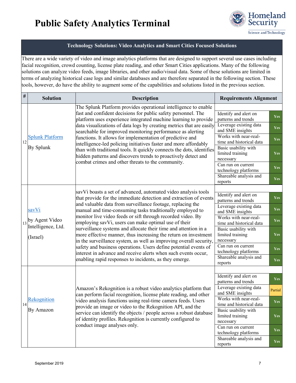

#### **Technology Solutions: Video Analytics and Smart Cities Focused Solutions**

There are a wide variety of video and image analytics platforms that are designed to support several use cases including facial recognition, crowd counting, license plate reading, and other Smart Cities applications. Many of the following solutions can analyze video feeds, image libraries, and other audio/visual data. Some of these solutions are limited in terms of analyzing historical case logs and similar databases and are therefore separated in the following section. These tools, however, do have the ability to augment some of the capabilities and solutions listed in the previous section.

| $\#$ | <b>Solution</b>                                                                   | <b>Description</b>                                                                                                                                                                                                                                                                                                                                                                                                                                                                                                                                                                                                                                                                                                                                                                                | <b>Requirements Alignment</b>                                                                                                                                                                                                                                                                          |                                                                                         |
|------|-----------------------------------------------------------------------------------|---------------------------------------------------------------------------------------------------------------------------------------------------------------------------------------------------------------------------------------------------------------------------------------------------------------------------------------------------------------------------------------------------------------------------------------------------------------------------------------------------------------------------------------------------------------------------------------------------------------------------------------------------------------------------------------------------------------------------------------------------------------------------------------------------|--------------------------------------------------------------------------------------------------------------------------------------------------------------------------------------------------------------------------------------------------------------------------------------------------------|-----------------------------------------------------------------------------------------|
| 12   | <b>Splunk Platform</b><br>By Splunk                                               | The Splunk Platform provides operational intelligence to enable<br>fast and confident decisions for public safety personnel. The<br>platform uses experience integrated machine learning to provide<br>data visualizations of data logs by creating metrics that are easily<br>searchable for improved monitoring performance as alerting<br>functions. It allows for implementation of predictive and<br>intelligence-led policing initiatives faster and more affordably<br>than with traditional tools. It quickly connects the dots, identifies<br>hidden patterns and discovers trends to proactively detect and<br>combat crimes and other threats to the community.                                                                                                                        | Identify and alert on<br>patterns and trends<br>Leverage existing data<br>and SME insights<br>Works with near-real-<br>time and historical data<br>Basic usability with<br>limited training<br>necessary<br>Can run on current<br>technology platforms<br>Shareable analysis and                       | <b>Yes</b><br><b>Yes</b><br><b>Yes</b><br><b>Yes</b><br><b>Yes</b>                      |
|      | savVi<br>$\vert_{13}\vert_{2}^{by}$ Agent Video<br>Intelligence, Ltd.<br>(Israel) | savVi boasts a set of advanced, automated video analysis tools<br>that provide for the immediate detection and extraction of events<br>and valuable data from surveillance footage, replacing the<br>manual and time-consuming tasks traditionally employed to<br>monitor live video feeds or sift through recorded video. By<br>employing savVi, users can make optimal use of their<br>surveillance systems and allocate their time and attention in a<br>more effective manner, thus increasing the return on investment<br>in the surveillance system, as well as improving overall security,<br>safety and business operations. Users define potential events of<br>interest in advance and receive alerts when such events occur,<br>enabling rapid responses to incidents, as they emerge. | reports<br>Identify and alert on<br>patterns and trends<br>Leverage existing data<br>and SME insights<br>Works with near-real-<br>time and historical data<br>Basic usability with<br>limited training<br>necessary<br>Can run on current<br>technology platforms<br>Shareable analysis and<br>reports | <b>Yes</b><br>Yes<br><b>Yes</b><br><b>Yes</b><br><b>Yes</b><br><b>Yes</b><br><b>Yes</b> |
| 14   | Rekognition<br>By Amazon                                                          | Amazon's Rekognition is a robust video analytics platform that<br>can perform facial recognition, license plate reading, and other<br>video analysis functions using real-time camera feeds. Users<br>provide an image or video to the Rekognition API, and the<br>service can identify the objects / people across a robust database<br>of identity profiles. Rekognition is currently configured to<br>conduct image analyses only.                                                                                                                                                                                                                                                                                                                                                             | Identify and alert on<br>patterns and trends<br>Leverage existing data<br>and SME insights<br>Works with near-real-<br>time and historical data<br>Basic usability with<br>limited training<br>necessary<br>Can run on current<br>technology platforms<br>Shareable analysis and<br>reports            | <b>Yes</b><br>Partial<br><b>Yes</b><br><b>Yes</b><br><b>Yes</b><br><b>Yes</b>           |